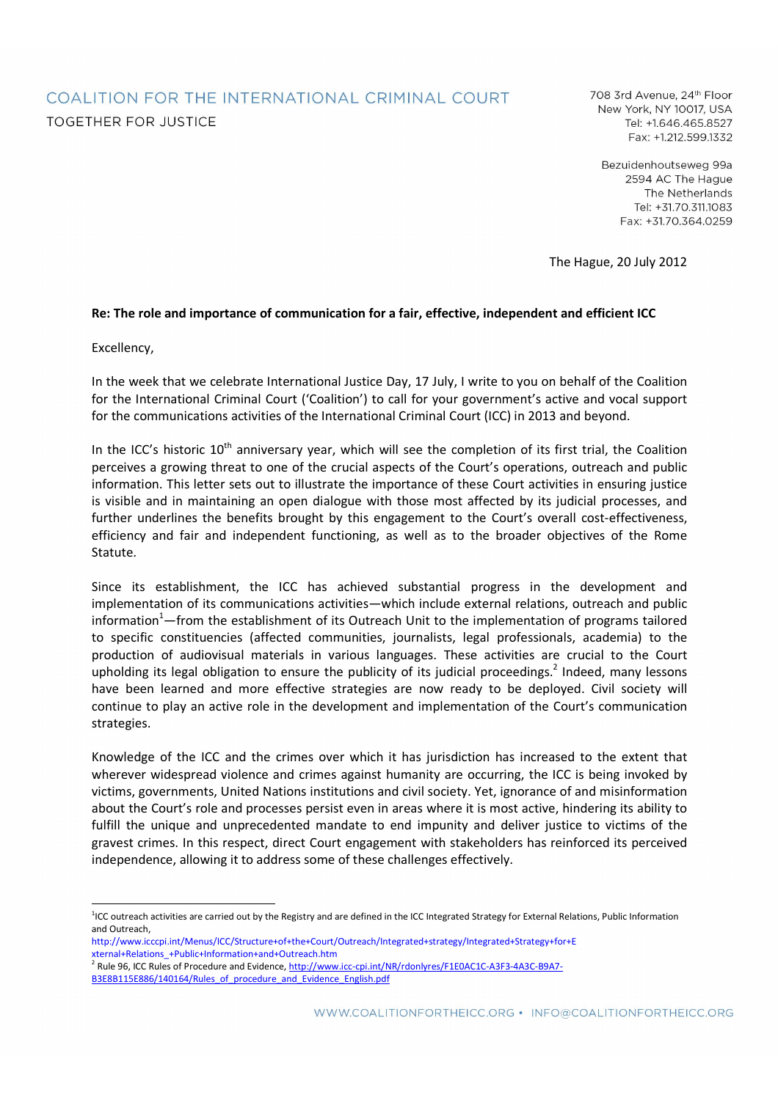# COALITION FOR THE INTERNATIONAL CRIMINAL COURT **TOGETHER FOR JUSTICE**

708 3rd Avenue, 24th Floor New York, NY 10017, USA Tel: +1.646.465.8527 Fax: +1.212.599.1332

Bezuidenhoutseweg 99a 2594 AC The Hague The Netherlands Tel: +31.70.311.1083 Fax: +31.70.364.0259

The Hague, 20 July 2012

#### **Re: The role and importance of communication for a fair, effective, independent and efficient ICC**

Excellency,

In the week that we celebrate International Justice Day, 17 July, I write to you on behalf of the Coalition for the International Criminal Court ('Coalition') to call for your government's active and vocal support for the communications activities of the International Criminal Court (ICC) in 2013 and beyond.

In the ICC's historic  $10^{th}$  anniversary year, which will see the completion of its first trial, the Coalition perceives a growing threat to one of the crucial aspects of the Court's operations, outreach and public information. This letter sets out to illustrate the importance of these Court activities in ensuring justice is visible and in maintaining an open dialogue with those most affected by its judicial processes, and further underlines the benefits brought by this engagement to the Court's overall cost-effectiveness, efficiency and fair and independent functioning, as well as to the broader objectives of the Rome Statute.

Since its establishment, the ICC has achieved substantial progress in the development and implementation of its communications activities—which include external relations, outreach and public information<sup>1</sup>—from the establishment of its Outreach Unit to the implementation of programs tailored to specific constituencies (affected communities, journalists, legal professionals, academia) to the production of audiovisual materials in various languages. These activities are crucial to the Court upholding its legal obligation to ensure the publicity of its judicial proceedings.<sup>2</sup> Indeed, many lessons have been learned and more effective strategies are now ready to be deployed. Civil society will continue to play an active role in the development and implementation of the Court's communication strategies.

Knowledge of the ICC and the crimes over which it has jurisdiction has increased to the extent that wherever widespread violence and crimes against humanity are occurring, the ICC is being invoked by victims, governments, United Nations institutions and civil society. Yet, ignorance of and misinformation about the Court's role and processes persist even in areas where it is most active, hindering its ability to fulfill the unique and unprecedented mandate to end impunity and deliver justice to victims of the gravest crimes. In this respect, direct Court engagement with stakeholders has reinforced its perceived independence, allowing it to address some of these challenges effectively.

<sup>-</sup><sup>1</sup>ICC outreach activities are carried out by the Registry and are defined in the ICC Integrated Strategy for External Relations, Public Information and Outreach,

http://www.icccpi.int/Menus/ICC/Structure+of+the+Court/Outreach/Integrated+strategy/Integrated+Strategy+for+E xternal+Relations\_+Public+Information+and+Outreach.htm<br><sup>2</sup> Rule 96, ICC Rules of Procedure and Evidence, <u>http://www.icc-cpi.int/NR/rdonlyres/F1E0AC1C-A3F3-4A3C-B9A7-</u>

B3E8B115E886/140164/Rules\_of\_procedure\_and\_Evidence\_English.pdf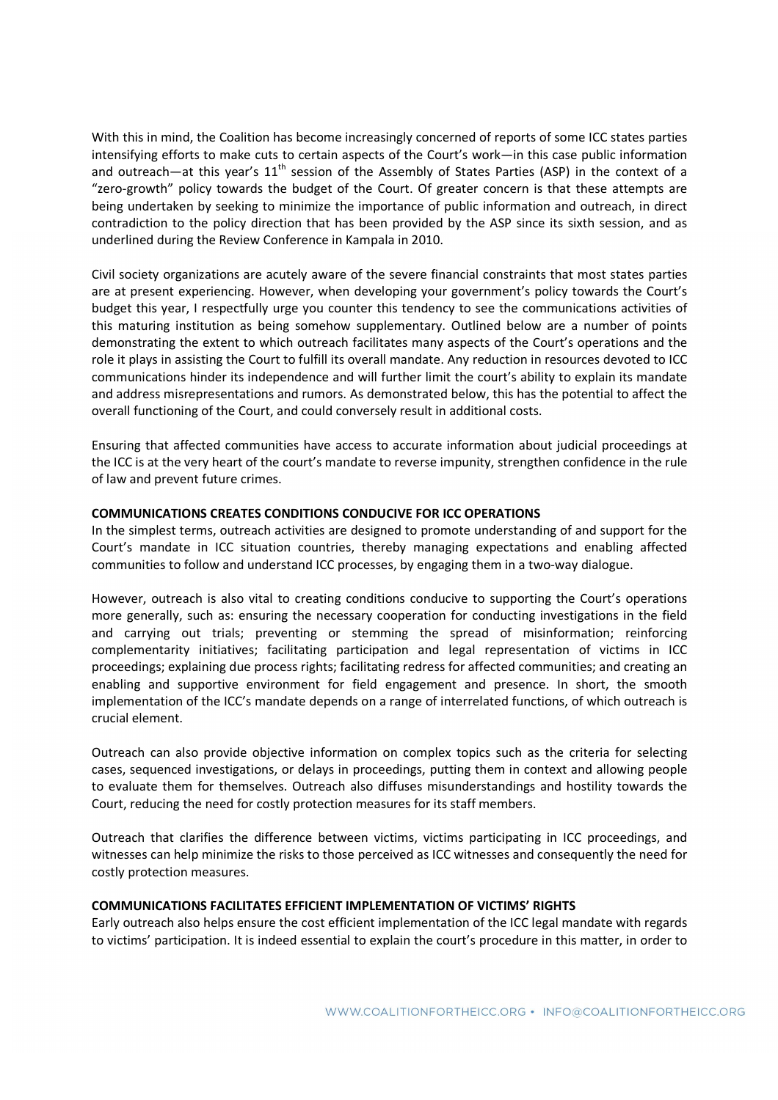With this in mind, the Coalition has become increasingly concerned of reports of some ICC states parties intensifying efforts to make cuts to certain aspects of the Court's work—in this case public information and outreach—at this year's  $11<sup>th</sup>$  session of the Assembly of States Parties (ASP) in the context of a "zero-growth" policy towards the budget of the Court. Of greater concern is that these attempts are being undertaken by seeking to minimize the importance of public information and outreach, in direct contradiction to the policy direction that has been provided by the ASP since its sixth session, and as underlined during the Review Conference in Kampala in 2010.

Civil society organizations are acutely aware of the severe financial constraints that most states parties are at present experiencing. However, when developing your government's policy towards the Court's budget this year, I respectfully urge you counter this tendency to see the communications activities of this maturing institution as being somehow supplementary. Outlined below are a number of points demonstrating the extent to which outreach facilitates many aspects of the Court's operations and the role it plays in assisting the Court to fulfill its overall mandate. Any reduction in resources devoted to ICC communications hinder its independence and will further limit the court's ability to explain its mandate and address misrepresentations and rumors. As demonstrated below, this has the potential to affect the overall functioning of the Court, and could conversely result in additional costs.

Ensuring that affected communities have access to accurate information about judicial proceedings at the ICC is at the very heart of the court's mandate to reverse impunity, strengthen confidence in the rule of law and prevent future crimes.

# **COMMUNICATIONS CREATES CONDITIONS CONDUCIVE FOR ICC OPERATIONS**

In the simplest terms, outreach activities are designed to promote understanding of and support for the Court's mandate in ICC situation countries, thereby managing expectations and enabling affected communities to follow and understand ICC processes, by engaging them in a two-way dialogue.

However, outreach is also vital to creating conditions conducive to supporting the Court's operations more generally, such as: ensuring the necessary cooperation for conducting investigations in the field and carrying out trials; preventing or stemming the spread of misinformation; reinforcing complementarity initiatives; facilitating participation and legal representation of victims in ICC proceedings; explaining due process rights; facilitating redress for affected communities; and creating an enabling and supportive environment for field engagement and presence. In short, the smooth implementation of the ICC's mandate depends on a range of interrelated functions, of which outreach is crucial element.

Outreach can also provide objective information on complex topics such as the criteria for selecting cases, sequenced investigations, or delays in proceedings, putting them in context and allowing people to evaluate them for themselves. Outreach also diffuses misunderstandings and hostility towards the Court, reducing the need for costly protection measures for its staff members.

Outreach that clarifies the difference between victims, victims participating in ICC proceedings, and witnesses can help minimize the risks to those perceived as ICC witnesses and consequently the need for costly protection measures.

### **COMMUNICATIONS FACILITATES EFFICIENT IMPLEMENTATION OF VICTIMS' RIGHTS**

Early outreach also helps ensure the cost efficient implementation of the ICC legal mandate with regards to victims' participation. It is indeed essential to explain the court's procedure in this matter, in order to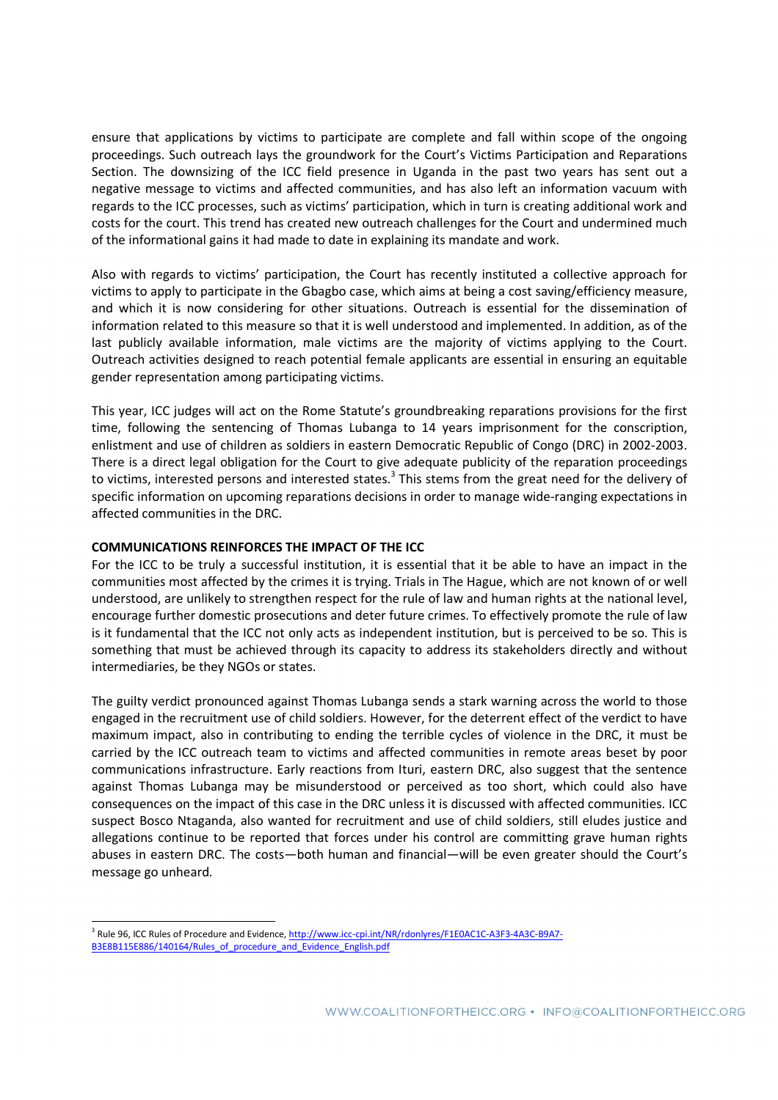ensure that applications by victims to participate are complete and fall within scope of the ongoing proceedings. Such outreach lays the groundwork for the Court's Victims Participation and Reparations Section. The downsizing of the ICC field presence in Uganda in the past two years has sent out a negative message to victims and affected communities, and has also left an information vacuum with regards to the ICC processes, such as victims' participation, which in turn is creating additional work and costs for the court. This trend has created new outreach challenges for the Court and undermined much of the informational gains it had made to date in explaining its mandate and work.

Also with regards to victims' participation, the Court has recently instituted a collective approach for victims to apply to participate in the Gbagbo case, which aims at being a cost saving/efficiency measure, and which it is now considering for other situations. Outreach is essential for the dissemination of information related to this measure so that it is well understood and implemented. In addition, as of the last publicly available information, male victims are the majority of victims applying to the Court. Outreach activities designed to reach potential female applicants are essential in ensuring an equitable gender representation among participating victims.

This year, ICC judges will act on the Rome Statute's groundbreaking reparations provisions for the first time, following the sentencing of Thomas Lubanga to 14 years imprisonment for the conscription, enlistment and use of children as soldiers in eastern Democratic Republic of Congo (DRC) in 2002-2003. There is a direct legal obligation for the Court to give adequate publicity of the reparation proceedings to victims, interested persons and interested states.<sup>3</sup> This stems from the great need for the delivery of specific information on upcoming reparations decisions in order to manage wide-ranging expectations in affected communities in the DRC.

## **COMMUNICATIONS REINFORCES THE IMPACT OF THE ICC**

For the ICC to be truly a successful institution, it is essential that it be able to have an impact in the communities most affected by the crimes it is trying. Trials in The Hague, which are not known of or well understood, are unlikely to strengthen respect for the rule of law and human rights at the national level, encourage further domestic prosecutions and deter future crimes. To effectively promote the rule of law is it fundamental that the ICC not only acts as independent institution, but is perceived to be so. This is something that must be achieved through its capacity to address its stakeholders directly and without intermediaries, be they NGOs or states.

The guilty verdict pronounced against Thomas Lubanga sends a stark warning across the world to those engaged in the recruitment use of child soldiers. However, for the deterrent effect of the verdict to have maximum impact, also in contributing to ending the terrible cycles of violence in the DRC, it must be carried by the ICC outreach team to victims and affected communities in remote areas beset by poor communications infrastructure. Early reactions from Ituri, eastern DRC, also suggest that the sentence against Thomas Lubanga may be misunderstood or perceived as too short, which could also have consequences on the impact of this case in the DRC unless it is discussed with affected communities. ICC suspect Bosco Ntaganda, also wanted for recruitment and use of child soldiers, still eludes justice and allegations continue to be reported that forces under his control are committing grave human rights abuses in eastern DRC. The costs—both human and financial—will be even greater should the Court's message go unheard.

 3 Rule 96, ICC Rules of Procedure and Evidence, http://www.icc-cpi.int/NR/rdonlyres/F1E0AC1C-A3F3-4A3C-B9A7- B3E8B115E886/140164/Rules\_of\_procedure\_and\_Evidence\_English.pdf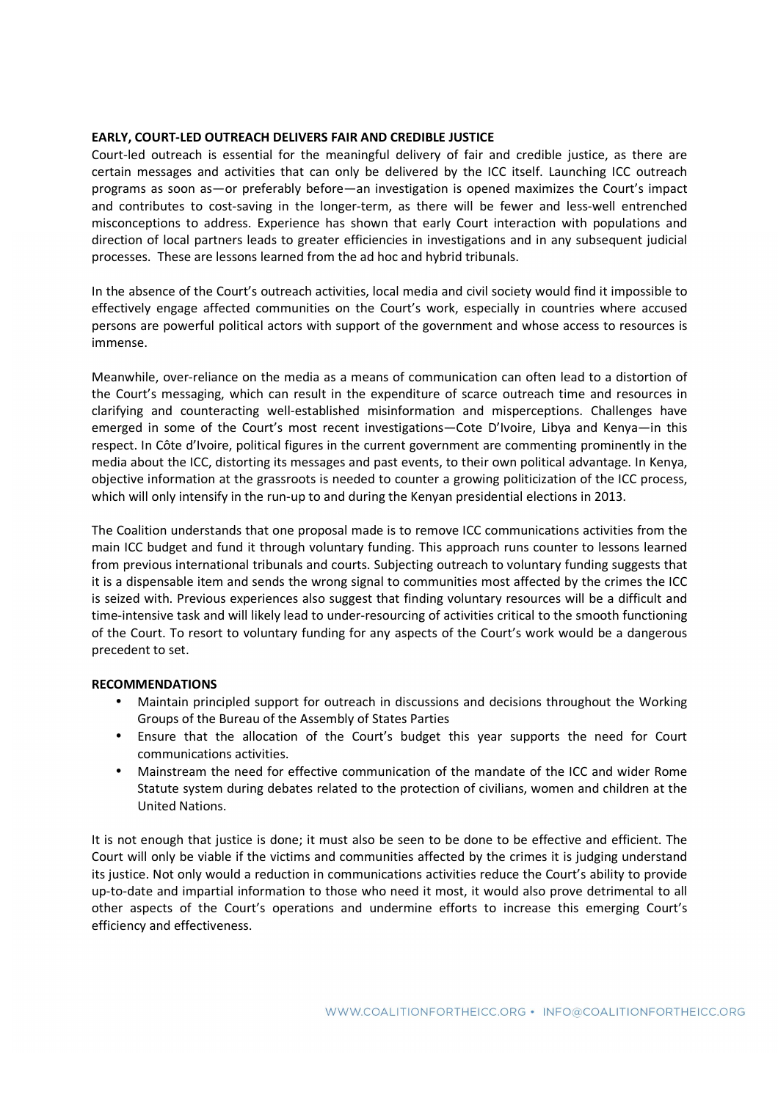## **EARLY, COURT-LED OUTREACH DELIVERS FAIR AND CREDIBLE JUSTICE**

Court-led outreach is essential for the meaningful delivery of fair and credible justice, as there are certain messages and activities that can only be delivered by the ICC itself. Launching ICC outreach programs as soon as—or preferably before—an investigation is opened maximizes the Court's impact and contributes to cost-saving in the longer-term, as there will be fewer and less-well entrenched misconceptions to address. Experience has shown that early Court interaction with populations and direction of local partners leads to greater efficiencies in investigations and in any subsequent judicial processes. These are lessons learned from the ad hoc and hybrid tribunals.

In the absence of the Court's outreach activities, local media and civil society would find it impossible to effectively engage affected communities on the Court's work, especially in countries where accused persons are powerful political actors with support of the government and whose access to resources is immense.

Meanwhile, over-reliance on the media as a means of communication can often lead to a distortion of the Court's messaging, which can result in the expenditure of scarce outreach time and resources in clarifying and counteracting well-established misinformation and misperceptions. Challenges have emerged in some of the Court's most recent investigations—Cote D'Ivoire, Libya and Kenya—in this respect. In Côte d'Ivoire, political figures in the current government are commenting prominently in the media about the ICC, distorting its messages and past events, to their own political advantage. In Kenya, objective information at the grassroots is needed to counter a growing politicization of the ICC process, which will only intensify in the run-up to and during the Kenyan presidential elections in 2013.

The Coalition understands that one proposal made is to remove ICC communications activities from the main ICC budget and fund it through voluntary funding. This approach runs counter to lessons learned from previous international tribunals and courts. Subjecting outreach to voluntary funding suggests that it is a dispensable item and sends the wrong signal to communities most affected by the crimes the ICC is seized with. Previous experiences also suggest that finding voluntary resources will be a difficult and time-intensive task and will likely lead to under-resourcing of activities critical to the smooth functioning of the Court. To resort to voluntary funding for any aspects of the Court's work would be a dangerous precedent to set.

#### **RECOMMENDATIONS**

- Maintain principled support for outreach in discussions and decisions throughout the Working Groups of the Bureau of the Assembly of States Parties
- Ensure that the allocation of the Court's budget this year supports the need for Court communications activities.
- Mainstream the need for effective communication of the mandate of the ICC and wider Rome Statute system during debates related to the protection of civilians, women and children at the United Nations.

It is not enough that justice is done; it must also be seen to be done to be effective and efficient. The Court will only be viable if the victims and communities affected by the crimes it is judging understand its justice. Not only would a reduction in communications activities reduce the Court's ability to provide up-to-date and impartial information to those who need it most, it would also prove detrimental to all other aspects of the Court's operations and undermine efforts to increase this emerging Court's efficiency and effectiveness.